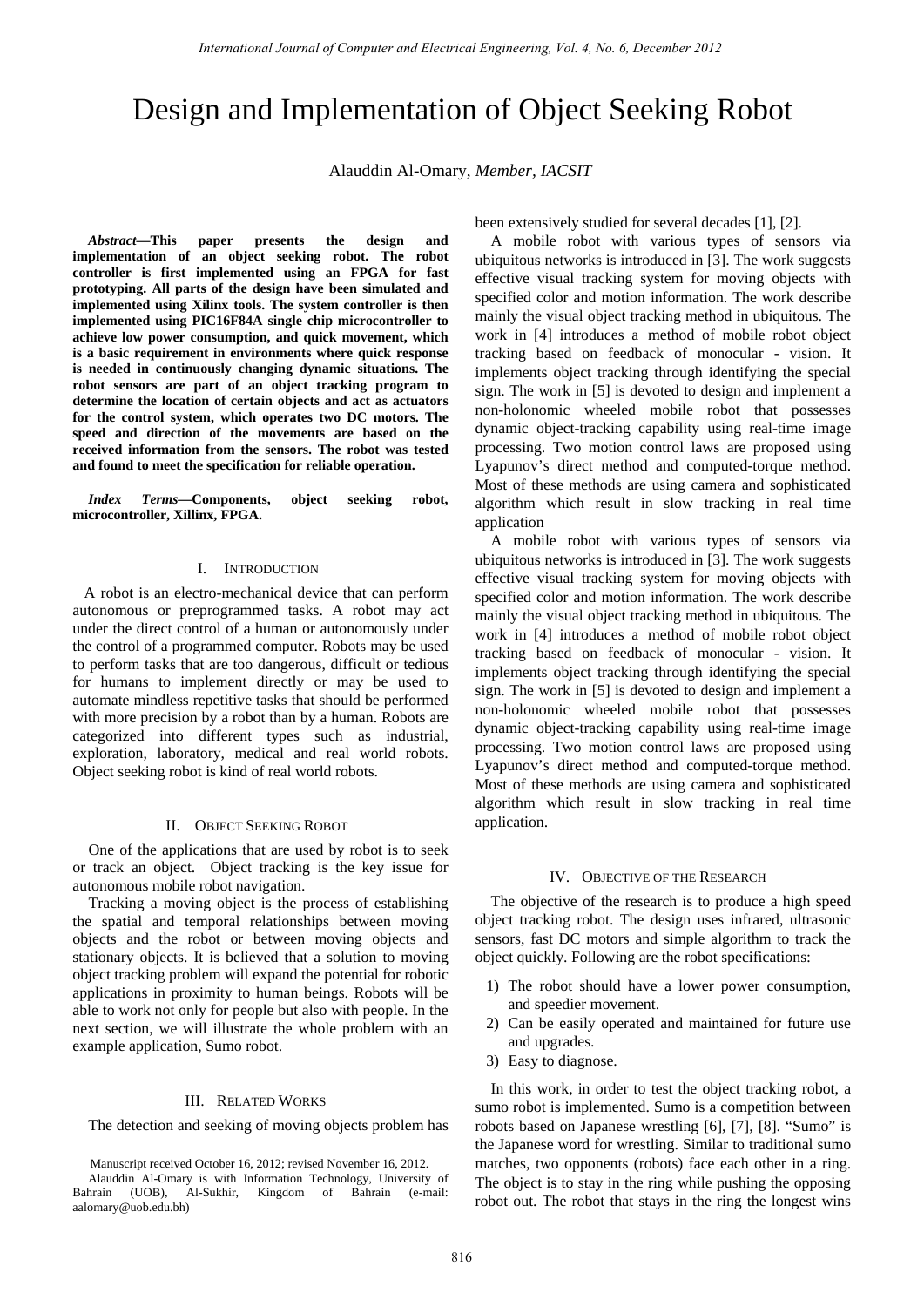# Design and Implementation of Object Seeking Robot

Alauddin Al-Omary, *Member, IACSIT*

*Abstract***—This paper presents the design and implementation of an object seeking robot. The robot controller is first implemented using an FPGA for fast prototyping. All parts of the design have been simulated and implemented using Xilinx tools. The system controller is then implemented using PIC16F84A single chip microcontroller to achieve low power consumption, and quick movement, which is a basic requirement in environments where quick response is needed in continuously changing dynamic situations. The robot sensors are part of an object tracking program to determine the location of certain objects and act as actuators for the control system, which operates two DC motors. The speed and direction of the movements are based on the received information from the sensors. The robot was tested and found to meet the specification for reliable operation.** 

*Index Terms***—Components, object seeking robot, microcontroller, Xillinx, FPGA.** 

#### I. INTRODUCTION

 A robot is an electro-mechanical device that can perform autonomous or preprogrammed tasks. A robot may act under the direct control of a human or autonomously under the control of a programmed computer. Robots may be used to perform tasks that are too dangerous, difficult or tedious for humans to implement directly or may be used to automate mindless repetitive tasks that should be performed with more precision by a robot than by a human. Robots are categorized into different types such as industrial, exploration, laboratory, medical and real world robots. Object seeking robot is kind of real world robots.

#### II. OBJECT SEEKING ROBOT

One of the applications that are used by robot is to seek or track an object. Object tracking is the key issue for autonomous mobile robot navigation.

Tracking a moving object is the process of establishing the spatial and temporal relationships between moving objects and the robot or between moving objects and stationary objects. It is believed that a solution to moving object tracking problem will expand the potential for robotic applications in proximity to human beings. Robots will be able to work not only for people but also with people. In the next section, we will illustrate the whole problem with an example application, Sumo robot.

#### III. RELATED WORKS

The detection and seeking of moving objects problem has

been extensively studied for several decades [1], [2].

A mobile robot with various types of sensors via ubiquitous networks is introduced in [3]. The work suggests effective visual tracking system for moving objects with specified color and motion information. The work describe mainly the visual object tracking method in ubiquitous. The work in [4] introduces a method of mobile robot object tracking based on feedback of monocular - vision. It implements object tracking through identifying the special sign. The work in [5] is devoted to design and implement a non-holonomic wheeled mobile robot that possesses dynamic object-tracking capability using real-time image processing. Two motion control laws are proposed using Lyapunov's direct method and computed-torque method. Most of these methods are using camera and sophisticated algorithm which result in slow tracking in real time application

A mobile robot with various types of sensors via ubiquitous networks is introduced in [3]. The work suggests effective visual tracking system for moving objects with specified color and motion information. The work describe mainly the visual object tracking method in ubiquitous. The work in [4] introduces a method of mobile robot object tracking based on feedback of monocular - vision. It implements object tracking through identifying the special sign. The work in [5] is devoted to design and implement a non-holonomic wheeled mobile robot that possesses dynamic object-tracking capability using real-time image processing. Two motion control laws are proposed using Lyapunov's direct method and computed-torque method. Most of these methods are using camera and sophisticated algorithm which result in slow tracking in real time application.

#### IV. OBJECTIVE OF THE RESEARCH

The objective of the research is to produce a high speed object tracking robot. The design uses infrared, ultrasonic sensors, fast DC motors and simple algorithm to track the object quickly. Following are the robot specifications:

- 1) The robot should have a lower power consumption, and speedier movement.
- 2) Can be easily operated and maintained for future use and upgrades.
- 3) Easy to diagnose.

In this work, in order to test the object tracking robot, a sumo robot is implemented. Sumo is a competition between robots based on Japanese wrestling [6], [7], [8]. "Sumo" is the Japanese word for wrestling. Similar to traditional sumo matches, two opponents (robots) face each other in a ring. The object is to stay in the ring while pushing the opposing robot out. The robot that stays in the ring the longest wins

Manuscript received October 16, 2012; revised November 16, 2012.

Alauddin Al-Omary is with Information Technology, University of Bahrain (UOB), Al-Sukhir, Kingdom of Bahrain (e-mail: aalomary@uob.edu.bh)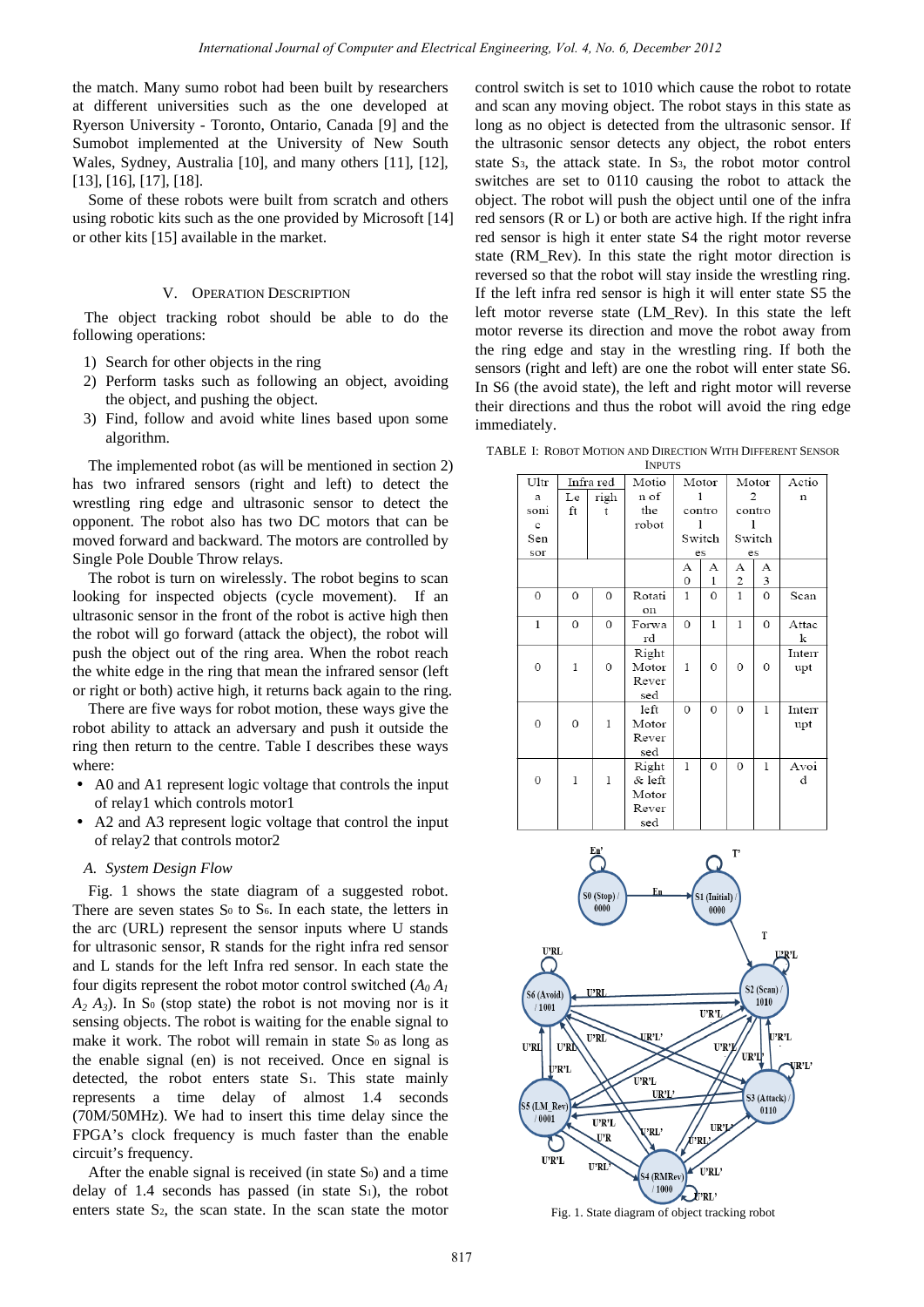the match. Many sumo robot had been built by researchers at different universities such as the one developed at Ryerson University - Toronto, Ontario, Canada [9] and the Sumobot implemented at the University of New South Wales, Sydney, Australia [10], and many others [11], [12], [13], [16], [17], [18].

Some of these robots were built from scratch and others using robotic kits such as the one provided by Microsoft [14] or other kits [15] available in the market.

## V. OPERATION DESCRIPTION

 The object tracking robot should be able to do the following operations:

- 1) Search for other objects in the ring
- 2) Perform tasks such as following an object, avoiding the object, and pushing the object.
- 3) Find, follow and avoid white lines based upon some algorithm.

The implemented robot (as will be mentioned in section 2) has two infrared sensors (right and left) to detect the wrestling ring edge and ultrasonic sensor to detect the opponent. The robot also has two DC motors that can be moved forward and backward. The motors are controlled by Single Pole Double Throw relays.

The robot is turn on wirelessly. The robot begins to scan looking for inspected objects (cycle movement). If an ultrasonic sensor in the front of the robot is active high then the robot will go forward (attack the object), the robot will push the object out of the ring area. When the robot reach the white edge in the ring that mean the infrared sensor (left or right or both) active high, it returns back again to the ring.

There are five ways for robot motion, these ways give the robot ability to attack an adversary and push it outside the ring then return to the centre. Table I describes these ways where:

- A0 and A1 represent logic voltage that controls the input of relay1 which controls motor1
- A2 and A3 represent logic voltage that control the input of relay2 that controls motor2

#### *A. System Design Flow*

Fig. 1 shows the state diagram of a suggested robot. There are seven states  $S_0$  to  $S_6$ . In each state, the letters in the arc (URL) represent the sensor inputs where U stands for ultrasonic sensor, R stands for the right infra red sensor and L stands for the left Infra red sensor. In each state the four digits represent the robot motor control switched  $(A_0, A_1)$  $A_2$   $A_3$ ). In S<sub>0</sub> (stop state) the robot is not moving nor is it sensing objects. The robot is waiting for the enable signal to make it work. The robot will remain in state S<sub>0</sub> as long as the enable signal (en) is not received. Once en signal is detected, the robot enters state S1. This state mainly represents a time delay of almost 1.4 seconds (70M/50MHz). We had to insert this time delay since the FPGA's clock frequency is much faster than the enable circuit's frequency.

After the enable signal is received (in state  $S<sub>0</sub>$ ) and a time delay of 1.4 seconds has passed (in state  $S_1$ ), the robot enters state S2, the scan state. In the scan state the motor

control switch is set to 1010 which cause the robot to rotate and scan any moving object. The robot stays in this state as long as no object is detected from the ultrasonic sensor. If the ultrasonic sensor detects any object, the robot enters state S3, the attack state. In S3, the robot motor control switches are set to 0110 causing the robot to attack the object. The robot will push the object until one of the infra red sensors (R or L) or both are active high. If the right infra red sensor is high it enter state S4 the right motor reverse state (RM\_Rev). In this state the right motor direction is reversed so that the robot will stay inside the wrestling ring. If the left infra red sensor is high it will enter state S5 the left motor reverse state (LM\_Rev). In this state the left motor reverse its direction and move the robot away from the ring edge and stay in the wrestling ring. If both the sensors (right and left) are one the robot will enter state S6. In S6 (the avoid state), the left and right motor will reverse their directions and thus the robot will avoid the ring edge immediately.

TABLE I: ROBOT MOTION AND DIRECTION WITH DIFFERENT SENSOR

| <b>INPUTS</b> |              |              |        |                |              |                |              |             |
|---------------|--------------|--------------|--------|----------------|--------------|----------------|--------------|-------------|
| Ultr          | Infra red    |              | Motio  | Motor          |              | Motor          |              | Actio       |
| a             | Le           | righ         | n of   | 1              |              | 2              |              | $\mathbf n$ |
| soni          | ft           | t            | the    | contro         |              | contro         |              |             |
| c             |              |              | robot  | 1              |              |                |              |             |
| Sen           |              |              |        | Switch         |              | Switch         |              |             |
| sor           |              |              |        | es             |              | es             |              |             |
|               |              |              |        | А              | А            | А              | А            |             |
|               |              |              |        | $\mathbf 0$    | 1            | 2              | 3            |             |
| $\Omega$      | $\mathbf{0}$ | 0            | Rotati | 1              | $\mathbf{0}$ | 1              | $\mathbf{0}$ | Scan        |
|               |              |              | on     |                |              |                |              |             |
| 1             | 0            | $\mathbf{0}$ | Forwa  | $\overline{0}$ | 1            | $\mathbf{1}$   | $\mathbf{0}$ | Attac       |
|               |              |              | rd     |                |              |                |              | k           |
|               |              |              | Right  |                |              |                |              | Interr      |
| 0             | 1            | 0            | Motor  | 1              | $\mathbf{0}$ | 0              | $\Omega$     | upt         |
|               |              |              | Rever  |                |              |                |              |             |
|               |              |              | sed    |                |              |                |              |             |
|               |              |              | left   | $\Omega$       | $\Omega$     | 0              | $\mathbf{1}$ | Interr      |
| 0             | 0            | $\mathbf{1}$ | Motor  |                |              |                |              | upt         |
|               |              |              | Rever  |                |              |                |              |             |
|               |              |              | sed    |                |              |                |              |             |
|               |              |              | Right  | 1              | $\theta$     | $\overline{0}$ | $\mathbf{I}$ | Avoi        |
| 0             | 1            | 1            | & left |                |              |                |              | d           |
|               |              |              | Motor  |                |              |                |              |             |
|               |              |              | Rever  |                |              |                |              |             |
|               |              |              | sed    |                |              |                |              |             |



Fig. 1. State diagram of object tracking robot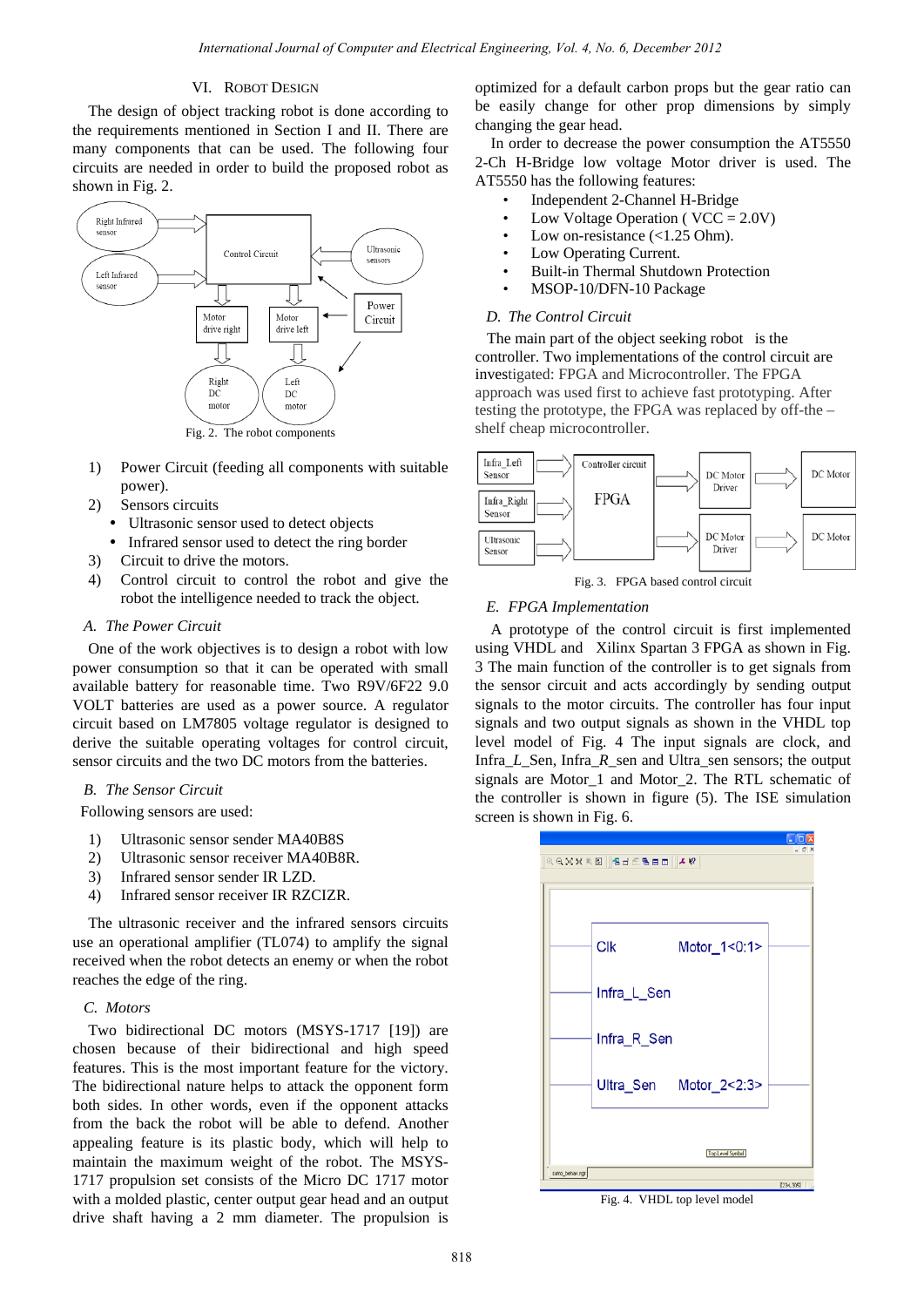# VI. ROBOT DESIGN

The design of object tracking robot is done according to the requirements mentioned in Section I and II. There are many components that can be used. The following four circuits are needed in order to build the proposed robot as shown in Fig. 2.



- 1) Power Circuit (feeding all components with suitable power).
- 2) Sensors circuits
	- Ultrasonic sensor used to detect objects
- Infrared sensor used to detect the ring border
- 3) Circuit to drive the motors.
- 4) Control circuit to control the robot and give the robot the intelligence needed to track the object.

# *A. The Power Circuit*

One of the work objectives is to design a robot with low power consumption so that it can be operated with small available battery for reasonable time. Two R9V/6F22 9.0 VOLT batteries are used as a power source. A regulator circuit based on LM7805 voltage regulator is designed to derive the suitable operating voltages for control circuit, sensor circuits and the two DC motors from the batteries.

# *B. The Sensor Circuit*

Following sensors are used:

- 1) Ultrasonic sensor sender MA40B8S
- 2) Ultrasonic sensor receiver MA40B8R.
- 3) Infrared sensor sender IR LZD.
- 4) Infrared sensor receiver IR RZCIZR.

The ultrasonic receiver and the infrared sensors circuits use an operational amplifier (TL074) to amplify the signal received when the robot detects an enemy or when the robot reaches the edge of the ring.

# *C. Motors*

Two bidirectional DC motors (MSYS-1717 [19]) are chosen because of their bidirectional and high speed features. This is the most important feature for the victory. The bidirectional nature helps to attack the opponent form both sides. In other words, even if the opponent attacks from the back the robot will be able to defend. Another appealing feature is its plastic body, which will help to maintain the maximum weight of the robot. The MSYS-1717 propulsion set consists of the Micro DC 1717 motor with a molded plastic, center output gear head and an output drive shaft having a 2 mm diameter. The propulsion is optimized for a default carbon props but the gear ratio can be easily change for other prop dimensions by simply changing the gear head.

In order to decrease the power consumption the AT5550 2-Ch H-Bridge low voltage Motor driver is used. The AT5550 has the following features:

- Independent 2-Channel H-Bridge
- Low Voltage Operation ( $VCC = 2.0V$ )
- Low on-resistance  $\left($  < 1.25 Ohm).
- Low Operating Current.
- Built-in Thermal Shutdown Protection
- MSOP-10/DFN-10 Package

#### *D. The Control Circuit*

 The main part of the object seeking robot is the controller. Two implementations of the control circuit are investigated: FPGA and Microcontroller. The FPGA approach was used first to achieve fast prototyping. After testing the prototype, the FPGA was replaced by off-the – shelf cheap microcontroller.



Fig. 3. FPGA based control circuit

# *E. FPGA Implementation*

A prototype of the control circuit is first implemented using VHDL and Xilinx Spartan 3 FPGA as shown in Fig. 3 The main function of the controller is to get signals from the sensor circuit and acts accordingly by sending output signals to the motor circuits. The controller has four input signals and two output signals as shown in the VHDL top level model of Fig. 4 The input signals are clock, and Infra*\_L\_*Sen, Infra\_*R*\_sen and Ultra\_sen sensors; the output signals are Motor\_1 and Motor\_2. The RTL schematic of the controller is shown in figure (5). The ISE simulation screen is shown in Fig. 6.



Fig. 4. VHDL top level model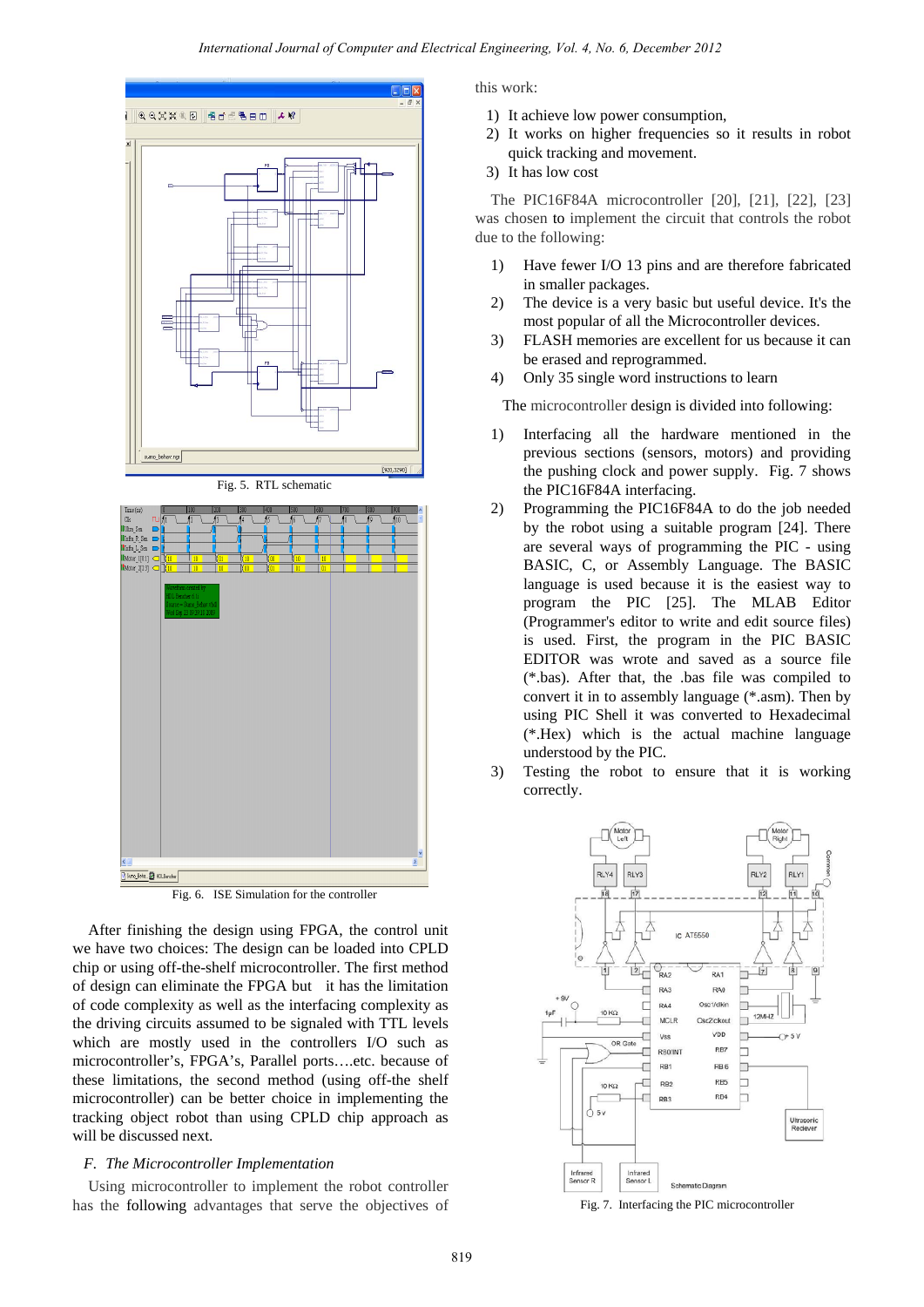

Fig. 5. RTL schematic





After finishing the design using FPGA, the control unit we have two choices: The design can be loaded into CPLD chip or using off-the-shelf microcontroller. The first method of design can eliminate the FPGA but it has the limitation of code complexity as well as the interfacing complexity as the driving circuits assumed to be signaled with TTL levels which are mostly used in the controllers I/O such as microcontroller's, FPGA's, Parallel ports….etc. because of these limitations, the second method (using off-the shelf microcontroller) can be better choice in implementing the tracking object robot than using CPLD chip approach as will be discussed next.

# *F. The Microcontroller Implementation*

Using microcontroller to implement the robot controller has the following advantages that serve the objectives of this work:

- 1) It achieve low power consumption,
- 2) It works on higher frequencies so it results in robot quick tracking and movement.
- 3) It has low cost

The PIC16F84A microcontroller [20], [21], [22], [23] was chosen to implement the circuit that controls the robot due to the following:

- 1) Have fewer I/O 13 pins and are therefore fabricated in smaller packages.
- 2) The device is a very basic but useful device. It's the most popular of all the Microcontroller devices.
- 3) FLASH memories are excellent for us because it can be erased and reprogrammed.
- 4) Only 35 single word instructions to learn

The microcontroller design is divided into following:

- 1) Interfacing all the hardware mentioned in the previous sections (sensors, motors) and providing the pushing clock and power supply. Fig. 7 shows the PIC16F84A interfacing.
- 2) Programming the PIC16F84A to do the job needed by the robot using a suitable program [24]. There are several ways of programming the PIC - using BASIC, C, or Assembly Language. The BASIC language is used because it is the easiest way to program the PIC [25]. The MLAB Editor (Programmer's editor to write and edit source files) is used. First, the program in the PIC BASIC EDITOR was wrote and saved as a source file (\*.bas). After that, the .bas file was compiled to convert it in to assembly language (\*.asm). Then by using PIC Shell it was converted to Hexadecimal (\*.Hex) which is the actual machine language understood by the PIC.
- 3) Testing the robot to ensure that it is working correctly.



Fig. 7. Interfacing the PIC microcontroller